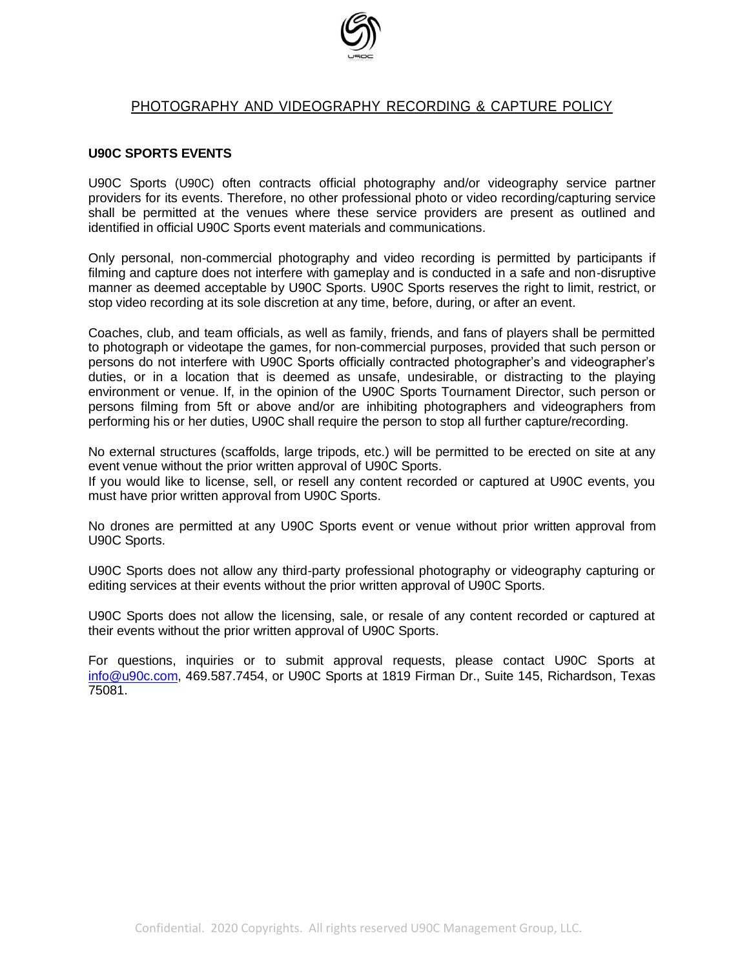

# PHOTOGRAPHY AND VIDEOGRAPHY RECORDING & CAPTURE POLICY

#### **U90C SPORTS EVENTS**

U90C Sports (U90C) often contracts official photography and/or videography service partner providers for its events. Therefore, no other professional photo or video recording/capturing service shall be permitted at the venues where these service providers are present as outlined and identified in official U90C Sports event materials and communications.

Only personal, non-commercial photography and video recording is permitted by participants if filming and capture does not interfere with gameplay and is conducted in a safe and non-disruptive manner as deemed acceptable by U90C Sports. U90C Sports reserves the right to limit, restrict, or stop video recording at its sole discretion at any time, before, during, or after an event.

Coaches, club, and team officials, as well as family, friends, and fans of players shall be permitted to photograph or videotape the games, for non-commercial purposes, provided that such person or persons do not interfere with U90C Sports officially contracted photographer's and videographer's duties, or in a location that is deemed as unsafe, undesirable, or distracting to the playing environment or venue. If, in the opinion of the U90C Sports Tournament Director, such person or persons filming from 5ft or above and/or are inhibiting photographers and videographers from performing his or her duties, U90C shall require the person to stop all further capture/recording.

No external structures (scaffolds, large tripods, etc.) will be permitted to be erected on site at any event venue without the prior written approval of U90C Sports.

If you would like to license, sell, or resell any content recorded or captured at U90C events, you must have prior written approval from U90C Sports.

No drones are permitted at any U90C Sports event or venue without prior written approval from U90C Sports.

U90C Sports does not allow any third-party professional photography or videography capturing or editing services at their events without the prior written approval of U90C Sports.

U90C Sports does not allow the licensing, sale, or resale of any content recorded or captured at their events without the prior written approval of U90C Sports.

For questions, inquiries or to submit approval requests, please contact U90C Sports at [info@u90c.com,](mailto:info@u90c.com) 469.587.7454, or U90C Sports at 1819 Firman Dr., Suite 145, Richardson, Texas 75081.